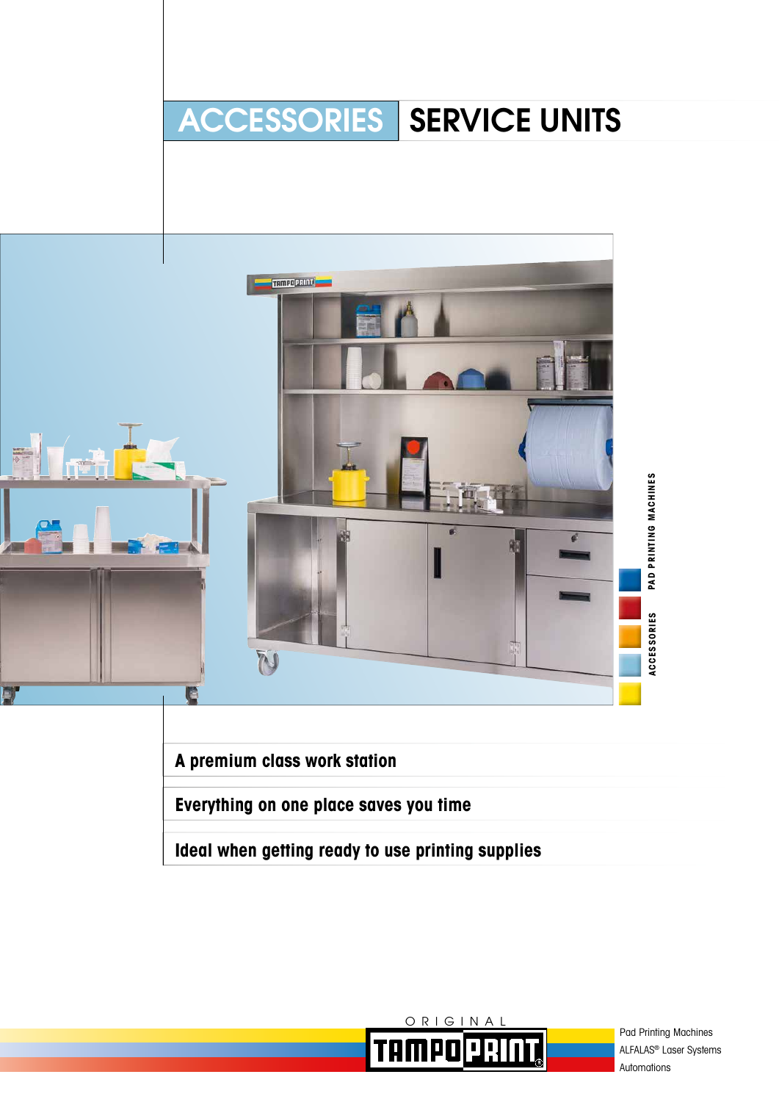# ACCESSORIES | SERVICE UNITS



**A premium class work station**

**Everything on one place saves you time**

**Ideal when getting ready to use printing supplies**



Pad Printing Machines ALFALAS® Laser Systems Automations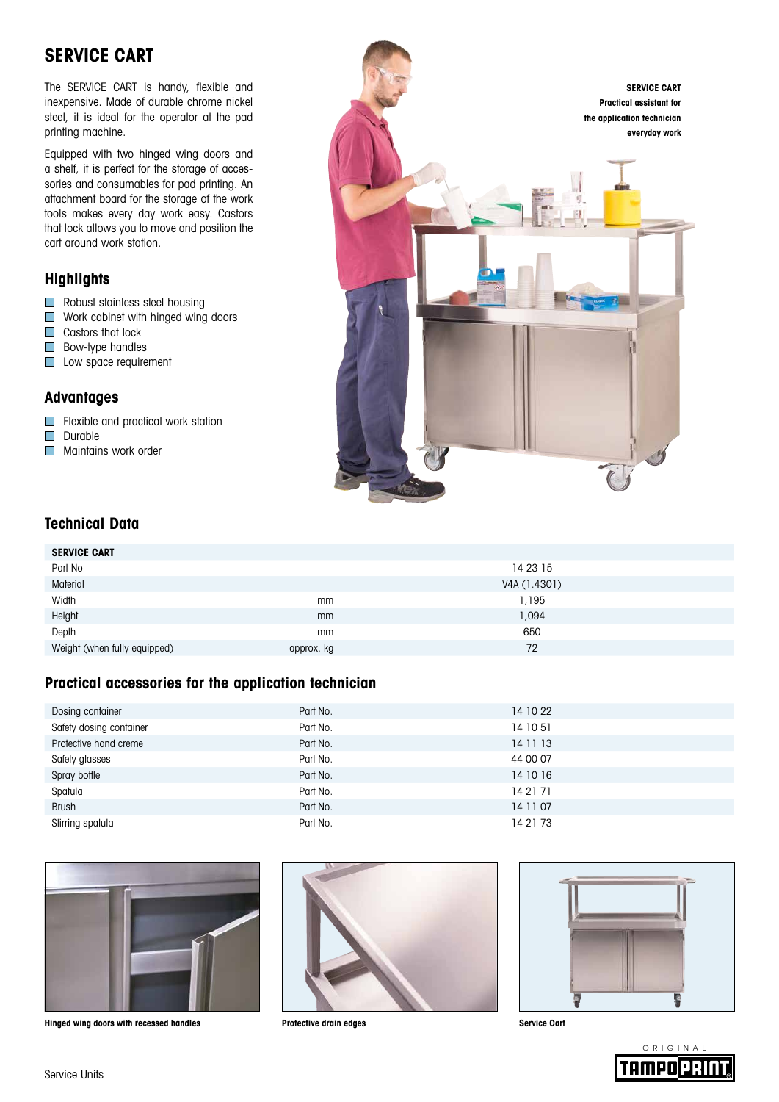## **SERVICE CART**

The SERVICE CART is handy, flexible and inexpensive. Made of durable chrome nickel steel, it is ideal for the operator at the pad printing machine.

Equipped with two hinged wing doors and a shelf, it is perfect for the storage of accessories and consumables for pad printing. An attachment board for the storage of the work tools makes every day work easy. Castors that lock allows you to move and position the cart around work station.

#### **Highlights**

- **Robust stainless steel housing**
- **Nork cabinet with hinged wing doors**
- Castors that lock
- **Bow-type handles**
- Low space requirement

#### **Advantages**

Flexible and practical work station

- Durable
- **Maintains work order**



#### **Technical Data**

| <b>SERVICE CART</b>          |            |              |
|------------------------------|------------|--------------|
| Part No.                     |            | 14 23 15     |
| Material                     |            | V4A (1.4301) |
| Width                        | mm         | 1,195        |
| Height                       | mm         | 1,094        |
| Depth                        | mm         | 650          |
| Weight (when fully equipped) | approx. kg | 72           |

#### **Practical accessories for the application technician**

| Dosing container        | Part No. | 14 10 22 |
|-------------------------|----------|----------|
| Safety dosing container | Part No. | 14 10 51 |
| Protective hand creme   | Part No. | 14 11 13 |
| Safety glasses          | Part No. | 44 00 07 |
| Spray bottle            | Part No. | 14 10 16 |
| Spatula                 | Part No. | 14 21 71 |
| <b>Brush</b>            | Part No. | 14 11 07 |
| Stirring spatula        | Part No. | 14 21 73 |



**Hinged wing doors with recessed handles Protective drain edges Service Cart**





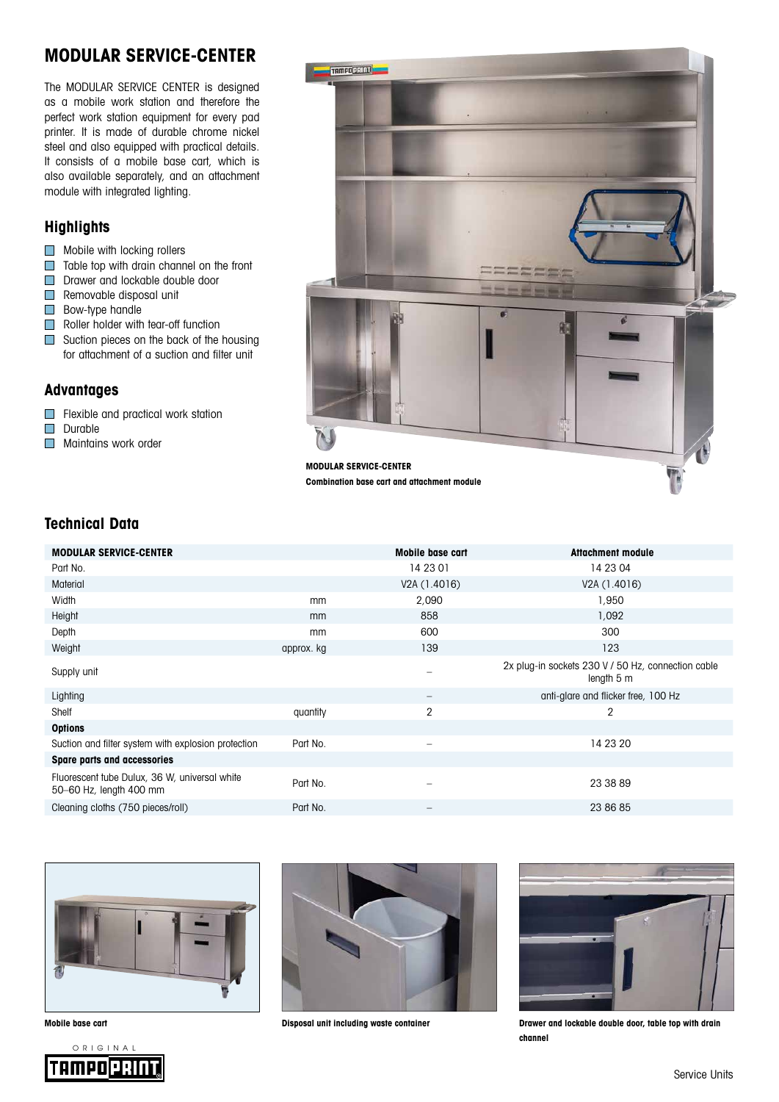## **MODULAR SERVICE-CENTER**

The MODULAR SERVICE CENTER is designed as a mobile work station and therefore the perfect work station equipment for every pad printer. It is made of durable chrome nickel steel and also equipped with practical details. It consists of a mobile base cart, which is also available separately, and an attachment module with integrated lighting.

#### **Highlights**

- **Mobile with locking rollers**
- $\Box$  Table top with drain channel on the front
- Drawer and lockable double door
- Removable disposal unit
- **Bow-type handle**
- $\Box$  Roller holder with tear-off function
- Suction pieces on the back of the housing for attachment of a suction and filter unit

#### **Advantages**

- Flexible and practical work station
- Durable
- **Maintains work order**



### **Technical Data**

| <b>MODULAR SERVICE-CENTER</b>                                            |            | Mobile base cart         | <b>Attachment module</b>                                         |
|--------------------------------------------------------------------------|------------|--------------------------|------------------------------------------------------------------|
| Part No.                                                                 |            | 14 23 01                 | 14 23 04                                                         |
| <b>Material</b>                                                          |            | V2A (1.4016)             | V2A (1.4016)                                                     |
| Width                                                                    | mm         | 2,090                    | 1,950                                                            |
| Height                                                                   | mm         | 858                      | 1,092                                                            |
| Depth                                                                    | mm         | 600                      | 300                                                              |
| Weight                                                                   | approx. kg | 139                      | 123                                                              |
| Supply unit                                                              |            |                          | 2x plug-in sockets 230 V / 50 Hz, connection cable<br>length 5 m |
| Lighting                                                                 |            |                          | anti-glare and flicker free, 100 Hz                              |
| Shelf                                                                    | quantity   | 2                        | 2                                                                |
| <b>Options</b>                                                           |            |                          |                                                                  |
| Suction and filter system with explosion protection                      | Part No.   | $\overline{\phantom{0}}$ | 14 23 20                                                         |
| Spare parts and accessories                                              |            |                          |                                                                  |
| Fluorescent tube Dulux, 36 W, universal white<br>50-60 Hz, length 400 mm | Part No.   |                          | 23 38 89                                                         |
| Cleaning cloths (750 pieces/roll)                                        | Part No.   | $\qquad \qquad -$        | 23 86 85                                                         |
|                                                                          |            |                          |                                                                  |







**Mobile base cart Disposal unit including waste container**



**Drawer and lockable double door, table top with drain channel**